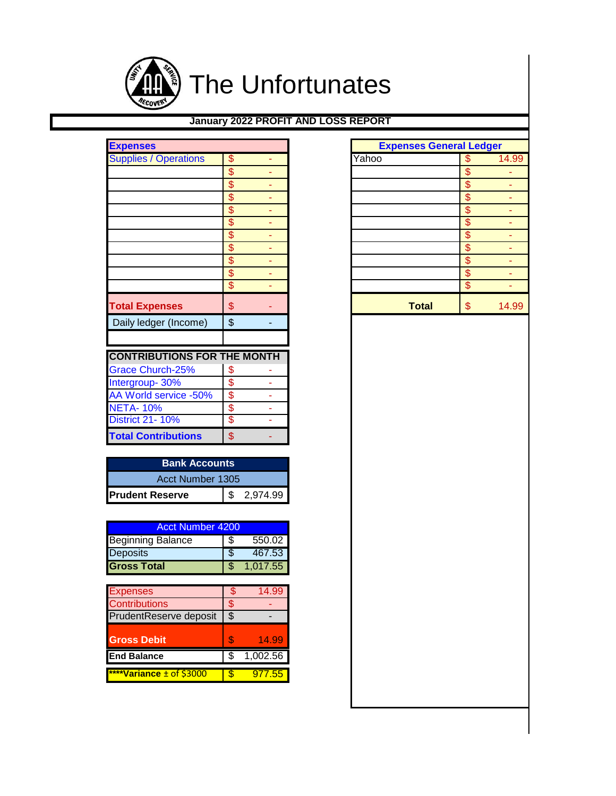

## **January 2022 PROFIT AND LOSS REPORT**

| <b>Expenses</b>                    |                          |   |       | <b>Expenses General Ledger</b> |
|------------------------------------|--------------------------|---|-------|--------------------------------|
| <b>Supplies / Operations</b>       | \$                       |   | Yahoo | \$                             |
|                                    | \$                       |   |       | \$                             |
|                                    | $\overline{\mathcal{S}}$ |   |       | \$                             |
|                                    | \$                       |   |       | \$                             |
|                                    | \$                       | ۰ |       | \$                             |
|                                    | \$                       |   |       | \$                             |
|                                    | \$                       |   |       | \$                             |
|                                    | \$                       |   |       | \$                             |
|                                    | \$                       |   |       | \$                             |
|                                    | \$                       |   |       | \$                             |
|                                    | \$                       |   |       | \$                             |
| <b>Total Expenses</b>              | \$                       |   |       | \$<br><b>Total</b>             |
| Daily ledger (Income)              | $\frac{1}{2}$            |   |       |                                |
| <b>CONTRIBUTIONS FOR THE MONTH</b> |                          |   |       |                                |
| <b>Grace Church-25%</b>            | \$                       |   |       |                                |
| Intergroup-30%                     | \$                       |   |       |                                |
| AA World service -50%              | \$                       |   |       |                                |
| <b>NETA-10%</b>                    | \$                       |   |       |                                |
| <b>District 21-10%</b>             | \$                       |   |       |                                |
| <b>Total Contributions</b>         | \$                       |   |       |                                |

| <b>Bank Accounts</b>   |  |            |  |  |  |  |  |  |
|------------------------|--|------------|--|--|--|--|--|--|
| Acct Number 1305       |  |            |  |  |  |  |  |  |
| <b>Prudent Reserve</b> |  | \$2,974.99 |  |  |  |  |  |  |

| Acct Number 4200         |   |          |  |  |  |  |  |  |
|--------------------------|---|----------|--|--|--|--|--|--|
| <b>Beginning Balance</b> | Ж | 550.02   |  |  |  |  |  |  |
| <b>Deposits</b>          |   | 467.53   |  |  |  |  |  |  |
| <b>Gross Total</b>       |   | 1.017.55 |  |  |  |  |  |  |

| <b>Expenses</b>               | \$ | 14.99    |
|-------------------------------|----|----------|
| <b>Contributions</b>          |    |          |
| <b>PrudentReserve deposit</b> | \$ |          |
|                               |    |          |
| <b>Gross Debit</b>            | S  | 14.99    |
| <b>End Balance</b>            |    | 1,002.56 |
|                               |    |          |
| ****Variance ± of \$3000      |    | 977.55   |

| <b>Expenses</b>                    |                               |                     |       |              |                          | <b>Expenses General Ledger</b> |
|------------------------------------|-------------------------------|---------------------|-------|--------------|--------------------------|--------------------------------|
| <b>Supplies / Operations</b>       | \$                            |                     | Yahoo |              | \$                       | 14.99                          |
|                                    | $\frac{1}{2}$                 |                     |       |              | $\frac{1}{2}$            |                                |
|                                    | $\overline{\mathcal{S}}$      |                     |       |              | $\overline{\mathcal{S}}$ |                                |
|                                    | $\overline{\mathcal{S}}$      |                     |       |              | $\overline{\mathcal{S}}$ |                                |
|                                    | $\overline{\mathcal{S}}$      |                     |       |              | $\overline{\$}$          |                                |
|                                    | $\overline{\mathcal{S}}$      | ٠                   |       |              | $\mathbf{\$\}$           |                                |
|                                    | \$                            |                     |       |              | \$                       |                                |
|                                    | $\overline{\mathcal{S}}$      |                     |       |              | \$                       |                                |
|                                    | $\frac{1}{2}$                 | ۰                   |       |              | $\sqrt[6]{\frac{1}{2}}$  |                                |
|                                    | $\overline{\mathcal{S}}$      |                     |       |              | \$                       |                                |
|                                    | \$                            | ٠                   |       |              | \$                       |                                |
| <b>Total Expenses</b>              | \$                            |                     |       | <b>Total</b> | \$                       | 14.99                          |
| Daily ledger (Income)              | \$                            | ۰                   |       |              |                          |                                |
|                                    |                               |                     |       |              |                          |                                |
| <b>CONTRIBUTIONS FOR THE MONTH</b> |                               |                     |       |              |                          |                                |
| Grace Church-25%                   |                               |                     |       |              |                          |                                |
| Intergroup- 30%                    | \$<br>\$                      | ٠                   |       |              |                          |                                |
| AA World service -50%              | \$                            | ٠                   |       |              |                          |                                |
| <b>NETA-10%</b>                    |                               |                     |       |              |                          |                                |
| <b>District 21-10%</b>             | $\overline{\mathbf{S}}$<br>\$ | ٠<br>$\blacksquare$ |       |              |                          |                                |
|                                    |                               |                     |       |              |                          |                                |
| <b>Total Contributions</b>         | \$                            | ٠                   |       |              |                          |                                |
| <b>Bank Accounts</b>               |                               |                     |       |              |                          |                                |
| Acct Number 1305                   |                               |                     |       |              |                          |                                |
|                                    |                               |                     |       |              |                          |                                |
| <b>Prudent Reserve</b>             | \$                            | 2,974.99            |       |              |                          |                                |
|                                    |                               |                     |       |              |                          |                                |
| <b>Acct Number 4200</b>            |                               |                     |       |              |                          |                                |
| <b>Beginning Balance</b>           | \$                            | 550.02              |       |              |                          |                                |
| Deposits                           | \$                            | 467.53              |       |              |                          |                                |
| <b>Gross Total</b>                 | \$                            | 1,017.55            |       |              |                          |                                |
|                                    |                               |                     |       |              |                          |                                |
| <b>Expenses</b>                    | \$                            | 14.99               |       |              |                          |                                |
| <b>Contributions</b>               | $\frac{1}{2}$                 |                     |       |              |                          |                                |
| PrudentReserve deposit             | $\overline{\$}$               |                     |       |              |                          |                                |
|                                    |                               |                     |       |              |                          |                                |
| <b>Gross Debit</b>                 | \$                            | 14.99               |       |              |                          |                                |
| <b>End Balance</b>                 | \$                            | 1,002.56            |       |              |                          |                                |
|                                    |                               |                     |       |              |                          |                                |
| ****Variance ± of \$3000           | \$                            | 977.55              |       |              |                          |                                |